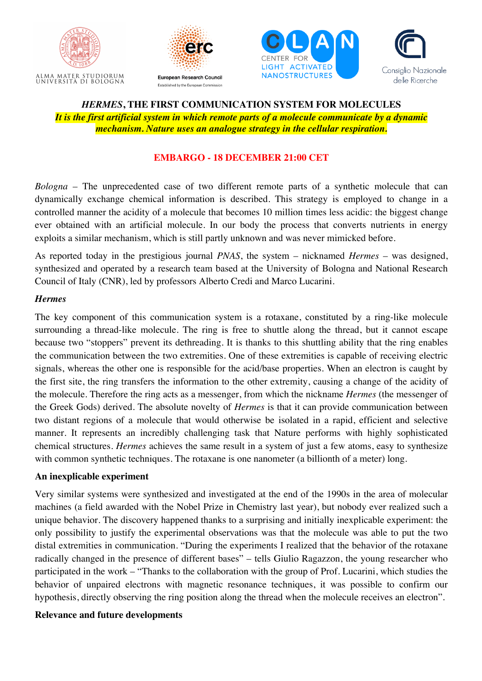







# *HERMES***, THE FIRST COMMUNICATION SYSTEM FOR MOLECULES** *It is the first artificial system in which remote parts of a molecule communicate by a dynamic mechanism. Nature uses an analogue strategy in the cellular respiration.*

### **EMBARGO - 18 DECEMBER 21:00 CET**

*Bologna* – The unprecedented case of two different remote parts of a synthetic molecule that can dynamically exchange chemical information is described. This strategy is employed to change in a controlled manner the acidity of a molecule that becomes 10 million times less acidic: the biggest change ever obtained with an artificial molecule. In our body the process that converts nutrients in energy exploits a similar mechanism, which is still partly unknown and was never mimicked before.

As reported today in the prestigious journal *PNAS*, the system – nicknamed *Hermes* – was designed, synthesized and operated by a research team based at the University of Bologna and National Research Council of Italy (CNR), led by professors Alberto Credi and Marco Lucarini.

#### *Hermes*

The key component of this communication system is a rotaxane, constituted by a ring-like molecule surrounding a thread-like molecule. The ring is free to shuttle along the thread, but it cannot escape because two "stoppers" prevent its dethreading. It is thanks to this shuttling ability that the ring enables the communication between the two extremities. One of these extremities is capable of receiving electric signals, whereas the other one is responsible for the acid/base properties. When an electron is caught by the first site, the ring transfers the information to the other extremity, causing a change of the acidity of the molecule. Therefore the ring acts as a messenger, from which the nickname *Hermes* (the messenger of the Greek Gods) derived. The absolute novelty of *Hermes* is that it can provide communication between two distant regions of a molecule that would otherwise be isolated in a rapid, efficient and selective manner. It represents an incredibly challenging task that Nature performs with highly sophisticated chemical structures. *Hermes* achieves the same result in a system of just a few atoms, easy to synthesize with common synthetic techniques. The rotaxane is one nanometer (a billionth of a meter) long.

#### **An inexplicable experiment**

Very similar systems were synthesized and investigated at the end of the 1990s in the area of molecular machines (a field awarded with the Nobel Prize in Chemistry last year), but nobody ever realized such a unique behavior. The discovery happened thanks to a surprising and initially inexplicable experiment: the only possibility to justify the experimental observations was that the molecule was able to put the two distal extremities in communication. "During the experiments I realized that the behavior of the rotaxane radically changed in the presence of different bases" – tells Giulio Ragazzon, the young researcher who participated in the work – "Thanks to the collaboration with the group of Prof. Lucarini, which studies the behavior of unpaired electrons with magnetic resonance techniques, it was possible to confirm our hypothesis, directly observing the ring position along the thread when the molecule receives an electron".

#### **Relevance and future developments**